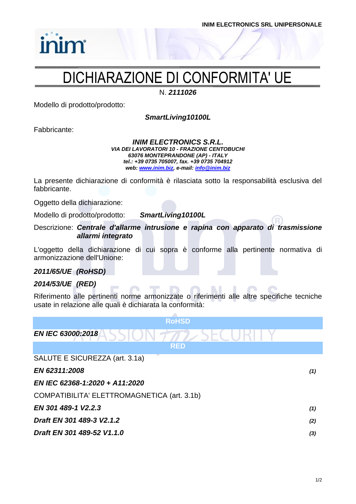### DICHIARAZIONE DI CONFORMITA' UE

N. *2111026*

Modello di prodotto/prodotto:

*SmartLiving10100L*

Fabbricante:

inim

### *INIM ELECTRONICS S.R.L. VIA DEI LAVORATORI 10 - FRAZIONE CENTOBUCHI 63076 MONTEPRANDONE (AP) - ITALY tel.: +39 0735 705007, fax. +39 0735 704912 web: [www.inim.biz,](http://www.inim.biz/) e-mail[: info@inim.biz](mailto:info@inim.biz)*

La presente dichiarazione di conformità è rilasciata sotto la responsabilità esclusiva del fabbricante.

Oggetto della dichiarazione:

Modello di prodotto/prodotto: *SmartLiving10100L*

Descrizione: *Centrale d'allarme intrusione e rapina con apparato di trasmissione allarmi integrato*

L'oggetto della dichiarazione di cui sopra è conforme alla pertinente normativa di armonizzazione dell'Unione:

### *2011/65/UE (RoHSD)*

### *2014/53/UE (RED)*

Riferimento alle pertinenti norme armonizzate o riferimenti alle altre specifiche tecniche usate in relazione alle quali è dichiarata la conformità:

| <b>RoHSD</b>                                |     |
|---------------------------------------------|-----|
| EN IEC 63000:2018                           |     |
| <b>RED</b>                                  |     |
| SALUTE E SICUREZZA (art. 3.1a)              |     |
| EN 62311:2008                               | (1) |
| EN IEC 62368-1:2020 + A11:2020              |     |
| COMPATIBILITA' ELETTROMAGNETICA (art. 3.1b) |     |
| EN 301 489-1 V2.2.3                         | (1) |
| Draft EN 301 489-3 V2.1.2                   | (2) |
| Draft EN 301 489-52 V1.1.0                  | (3) |
|                                             |     |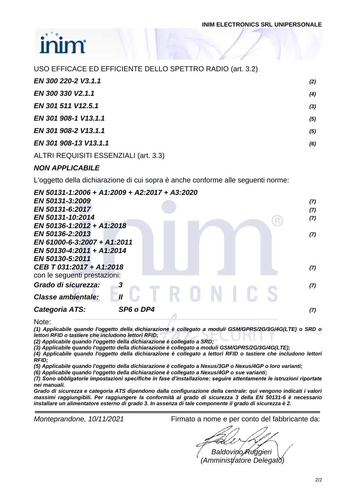| USO EFFICACE ED EFFICIENTE DELLO SPETTRO RADIO (art. 3.2) |       |
|-----------------------------------------------------------|-------|
| EN 300 220-2 V3.1.1                                       | (2)   |
| EN 300 330 V2.1.1                                         | (4)   |
| EN 301 511 V12.5.1                                        | $(3)$ |
| EN 301 908-1 V13.1.1                                      | (5)   |
| EN 301 908-2 V13.1.1                                      | (5)   |
| EN 301 908-13 V13.1.1                                     | (6)   |
| ALTRI REQUISITI ESSENZIALI (art. 3.3)                     |       |

### *NON APPLICABILE*

L'oggetto della dichiarazione di cui sopra è anche conforme alle seguenti norme:

| EN 50131-1:2006 + A1:2009 + A2:2017 + A3:2020 |     |
|-----------------------------------------------|-----|
| EN 50131-3:2009                               | (7) |
| EN 50131-6:2017                               | (7) |
| EN 50131-10:2014                              | (7) |
| EN 50136-1:2012 + A1:2018                     |     |
| EN 50136-2:2013                               | (7) |
| EN 61000-6-3:2007 + A1:2011                   |     |
| EN 50130-4:2011 + A1:2014                     |     |
| EN 50130-5:2011                               |     |
| CEB T 031:2017 + A1:2018                      | (7) |
| con le seguenti prestazioni:                  |     |
| Grado di sicurezza:                           | (7) |
| <b>Classe ambientale:</b>                     |     |
| Categoria ATS:<br>SP6 o DP4                   | (7) |
|                                               |     |

Note:

*(1) Applicabile quando l'oggetto della dichiarazione è collegato a moduli GSM/GPRS/2G/3G/4G(LTE) o SRD o lettori RFID o tastiere che includono lettori RFID;*

*(2) Applicabile quando l'oggetto della dichiarazione è collegato a SRD;*

*(3) Applicabile quando l'oggetto della dichiarazione è collegato a moduli GSM/GPRS/2G/3G/4G(LTE);*

*(4) Applicabile quando l'oggetto della dichiarazione è collegato a lettori RFID o tastiere che includono lettori RFID;*

*(5) Applicabile quando l'oggetto della dichiarazione è collegato a Nexus/3GP o Nexus/4GP o loro varianti;*

*(6) Applicabile quando l'oggetto della dichiarazione è collegato a Nexus/4GP o sue varianti;*

*(7) Sono obbligatorie impostazioni specifiche in fase d'installazione: seguire attentamente le istruzioni riportate nei manuali.*

*Grado di sicurezza e categoria ATS dipendono dalla configurazione della centrale: qui vengono indicati i valori massimi raggiungibili. Per raggiungere la conformità al grado di sicurezza 3 della EN 50131-6 è necessario installare un alimentatore esterno di grado 3. In assenza di tale componente il grado di sicurezza è 2.*

*Monteprandone, 10/11/2021* Firmato a nome e per conto del fabbricante da:

*Baldovino Ruggieri (Amministratore Delegato)*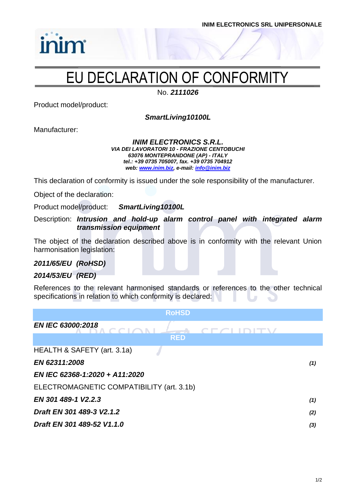## EU DECLARATION OF CONFORMITY

No. *2111026*

Product model/product:

inim

*SmartLiving10100L*

Manufacturer:

### *INIM ELECTRONICS S.R.L. VIA DEI LAVORATORI 10 - FRAZIONE CENTOBUCHI 63076 MONTEPRANDONE (AP) - ITALY tel.: +39 0735 705007, fax. +39 0735 704912 web: [www.inim.biz,](http://www.inim.biz/) e-mail[: info@inim.biz](mailto:info@inim.biz)*

This declaration of conformity is issued under the sole responsibility of the manufacturer.

Object of the declaration:

Product model/product: *SmartLiving10100L*

Description: *Intrusion and hold-up alarm control panel with integrated alarm transmission equipment*

The object of the declaration described above is in conformity with the relevant Union harmonisation legislation:

### *2011/65/EU (RoHSD)*

### *2014/53/EU (RED)*

References to the relevant harmonised standards or references to the other technical specifications in relation to which conformity is declared:

| <b>RoHSD</b>                              |     |
|-------------------------------------------|-----|
| <b>EN IEC 63000:2018</b>                  |     |
| <b>RED</b>                                |     |
| HEALTH & SAFETY (art. 3.1a)               |     |
| EN 62311:2008                             | (1) |
| EN IEC 62368-1:2020 + A11:2020            |     |
| ELECTROMAGNETIC COMPATIBILITY (art. 3.1b) |     |
| EN 301 489-1 V2.2.3                       | (1) |
| Draft EN 301 489-3 V2.1.2                 | (2) |
| Draft EN 301 489-52 V1.1.0                | (3) |
|                                           |     |